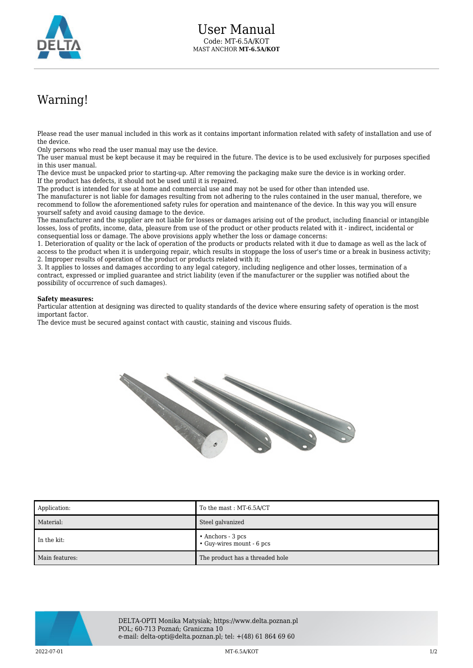

## Warning!

Please read the user manual included in this work as it contains important information related with safety of installation and use of the device.

Only persons who read the user manual may use the device.

The user manual must be kept because it may be required in the future. The device is to be used exclusively for purposes specified in this user manual.

The device must be unpacked prior to starting-up. After removing the packaging make sure the device is in working order. If the product has defects, it should not be used until it is repaired.

The product is intended for use at home and commercial use and may not be used for other than intended use.

The manufacturer is not liable for damages resulting from not adhering to the rules contained in the user manual, therefore, we recommend to follow the aforementioned safety rules for operation and maintenance of the device. In this way you will ensure yourself safety and avoid causing damage to the device.

The manufacturer and the supplier are not liable for losses or damages arising out of the product, including financial or intangible losses, loss of profits, income, data, pleasure from use of the product or other products related with it - indirect, incidental or consequential loss or damage. The above provisions apply whether the loss or damage concerns:

1. Deterioration of quality or the lack of operation of the products or products related with it due to damage as well as the lack of access to the product when it is undergoing repair, which results in stoppage the loss of user's time or a break in business activity; 2. Improper results of operation of the product or products related with it;

3. It applies to losses and damages according to any legal category, including negligence and other losses, termination of a contract, expressed or implied guarantee and strict liability (even if the manufacturer or the supplier was notified about the possibility of occurrence of such damages).

## **Safety measures:**

Particular attention at designing was directed to quality standards of the device where ensuring safety of operation is the most important factor.

The device must be secured against contact with caustic, staining and viscous fluids.



| Application:   | To the mast: MT-6.5A/CT                                |
|----------------|--------------------------------------------------------|
| Material:      | Steel galvanized                                       |
| In the kit:    | $\bullet$ Anchors - 3 pcs<br>• Guy-wires mount - 6 pcs |
| Main features: | The product has a threaded hole                        |



DELTA-OPTI Monika Matysiak; https://www.delta.poznan.pl POL; 60-713 Poznań; Graniczna 10 e-mail: delta-opti@delta.poznan.pl; tel: +(48) 61 864 69 60